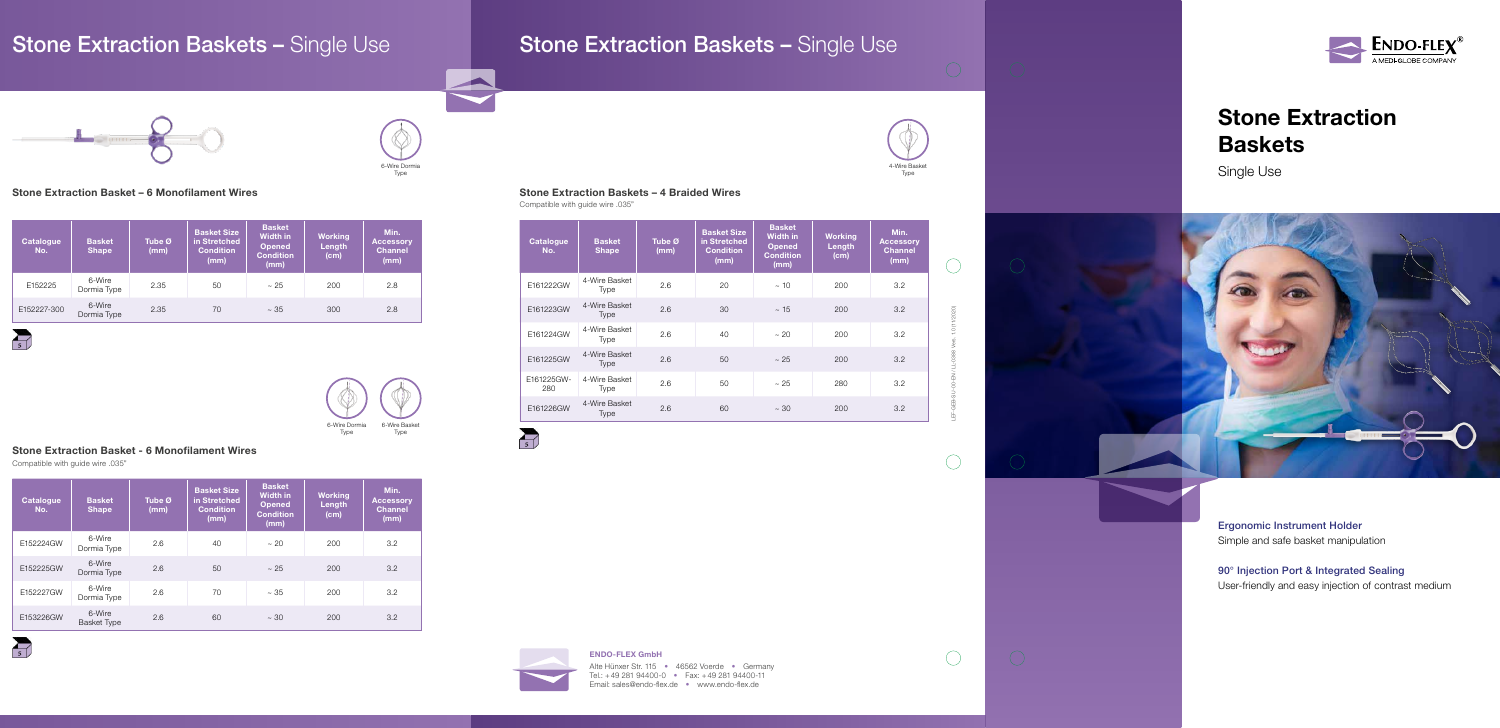### ENDO-FLEX GmbH

Alte Hünxer Str. 115 • 46562 Voerde • Germany Tel.: +49 281 94400-0 • Fax: +49 281 94400-11 Email: sales@endo-flex.de • www.endo-flex.de

LEF-GEB-SU-00-EN / LL-0388 Vers. 1.0 (11/2020)

 $\bigcirc$ 

 $\bigcirc$ 

## Stone Extraction Baskets

Single Use



Ergonomic Instrument Holder Simple and safe basket manipulation

90° Injection Port & Integrated Sealing User-friendly and easy injection of contrast medium

 $\bigcirc$ 

### Stone Extraction Basket – 6 Monofilament Wires

### Stone Extraction Basket - 6 Monofilament Wires

Compatible with guide wire .035"

| <b>Catalogue</b><br>No. | <b>Basket</b><br><b>Shape</b> | Tube Ø<br>(mm) | <b>Basket Size</b><br>in Stretched<br><b>Condition</b><br>(mm) | <b>Basket</b><br><b>Width in</b><br><b>Opened</b><br><b>Condition</b><br>(mm) | <b>Working</b><br>Length<br>(cm) | Min.<br><b>Accessory</b><br><b>Channel</b><br>(mm) |
|-------------------------|-------------------------------|----------------|----------------------------------------------------------------|-------------------------------------------------------------------------------|----------------------------------|----------------------------------------------------|
| E152225                 | 6-Wire<br>Dormia Type         | 2.35           | 50                                                             | ~25                                                                           | 200                              | 2.8                                                |
| E152227-300             | 6-Wire<br>Dormia Type         | 2.35           | 70                                                             | ~1.35                                                                         | 300                              | 2.8                                                |

 $\sum_{5}$ 

| <b>Catalogue</b><br>No. | <b>Basket</b><br><b>Shape</b> | Tube $\boldsymbol{\varnothing}$<br>(mm) | <b>Basket Size</b><br>in Stretched<br><b>Condition</b><br>(mm) | <b>Basket</b><br><b>Width in</b><br><b>Opened</b><br><b>Condition</b><br>(mm) | <b>Working</b><br>Length<br>(cm) | Min.<br><b>Accessory</b><br><b>Channel</b><br>(mm) |
|-------------------------|-------------------------------|-----------------------------------------|----------------------------------------------------------------|-------------------------------------------------------------------------------|----------------------------------|----------------------------------------------------|
| E152224GW               | 6-Wire<br>Dormia Type         | 2.6                                     | 40                                                             | ~20                                                                           | 200                              | 3.2                                                |
| E152225GW               | 6-Wire<br>Dormia Type         | 2.6                                     | 50                                                             | ~25                                                                           | 200                              | 3.2                                                |
| E152227GW               | 6-Wire<br>Dormia Type         | 2.6                                     | 70                                                             | ~1.35                                                                         | 200                              | 3.2                                                |
| E153226GW               | 6-Wire<br><b>Basket Type</b>  | 2.6                                     | 60                                                             | $~10^{-1}$                                                                    | 200                              | 3.2                                                |





 $\overline{\mathcal{L}}$ 

## Stone Extraction Baskets – Single Use Stone Extraction Baskets – Single Use



# 6-Wire Dormia Type



### Stone Extraction Baskets – 4 Braided Wires

Compatible with guide wire .035"

| <b>Catalogue</b><br>No. | <b>Basket</b><br><b>Shape</b> | Tube Ø<br>(mm) | <b>Basket Size</b><br>in Stretched<br><b>Condition</b><br>(mm) | <b>Basket</b><br><b>Width in</b><br><b>Opened</b><br><b>Condition</b><br>(mm) | <b>Working</b><br>Length<br>(cm) | Min.<br><b>Accessory</b><br><b>Channel</b><br>(mm) |
|-------------------------|-------------------------------|----------------|----------------------------------------------------------------|-------------------------------------------------------------------------------|----------------------------------|----------------------------------------------------|
| E161222GW               | 4-Wire Basket<br>Type         | 2.6            | 20                                                             | $\sim$ 10                                                                     | 200                              | 3.2                                                |
| E161223GW               | 4-Wire Basket<br>Type         | 2.6            | 30                                                             | $~\sim~15$                                                                    | 200                              | 3.2                                                |
| E161224GW               | 4-Wire Basket<br>Type         | 2.6            | 40                                                             | $~1$ 20                                                                       | 200                              | 3.2                                                |
| E161225GW               | 4-Wire Basket<br>Type         | 2.6            | 50                                                             | ~25                                                                           | 200                              | 3.2                                                |
| E161225GW-<br>280       | 4-Wire Basket<br>Type         | 2.6            | 50                                                             | ~25                                                                           | 280                              | 3.2                                                |
| E161226GW               | 4-Wire Basket<br>Type         | 2.6            | 60                                                             | $~10^{-1}$                                                                    | 200                              | 3.2                                                |



 $\textbf{\textcolor{red}{\textbf{ENDO-FLEX}}^{\textcolor{green}{\textbf{F}}} \textcolor{red}{\textbf{N}}}_{\textcolor{blue}{\textbf{A MEDI-GLOBE COMPANY}}}$